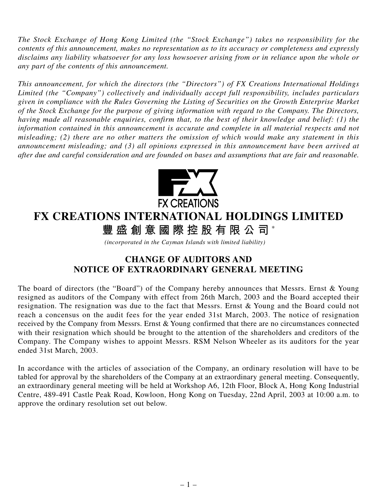*The Stock Exchange of Hong Kong Limited (the "Stock Exchange") takes no responsibility for the contents of this announcement, makes no representation as to its accuracy or completeness and expressly disclaims any liability whatsoever for any loss howsoever arising from or in reliance upon the whole or any part of the contents of this announcement.*

*This announcement, for which the directors (the "Directors") of FX Creations International Holdings Limited (the "Company") collectively and individually accept full responsibility, includes particulars given in compliance with the Rules Governing the Listing of Securities on the Growth Enterprise Market of the Stock Exchange for the purpose of giving information with regard to the Company. The Directors, having made all reasonable enquiries, confirm that, to the best of their knowledge and belief: (1) the information contained in this announcement is accurate and complete in all material respects and not misleading; (2) there are no other matters the omission of which would make any statement in this announcement misleading; and (3) all opinions expressed in this announcement have been arrived at after due and careful consideration and are founded on bases and assumptions that are fair and reasonable.*



## **FX CREATIONS INTERNATIONAL HOLDINGS LIMITED**

**豐盛創意國際控股有限公司** \*

*(incorporated in the Cayman Islands with limited liability)*

## **CHANGE OF AUDITORS AND NOTICE OF EXTRAORDINARY GENERAL MEETING**

The board of directors (the "Board") of the Company hereby announces that Messrs. Ernst & Young resigned as auditors of the Company with effect from 26th March, 2003 and the Board accepted their resignation. The resignation was due to the fact that Messrs. Ernst & Young and the Board could not reach a concensus on the audit fees for the year ended 31st March, 2003. The notice of resignation received by the Company from Messrs. Ernst & Young confirmed that there are no circumstances connected with their resignation which should be brought to the attention of the shareholders and creditors of the Company. The Company wishes to appoint Messrs. RSM Nelson Wheeler as its auditors for the year ended 31st March, 2003.

In accordance with the articles of association of the Company, an ordinary resolution will have to be tabled for approval by the shareholders of the Company at an extraordinary general meeting. Consequently, an extraordinary general meeting will be held at Workshop A6, 12th Floor, Block A, Hong Kong Industrial Centre, 489-491 Castle Peak Road, Kowloon, Hong Kong on Tuesday, 22nd April, 2003 at 10:00 a.m. to approve the ordinary resolution set out below.